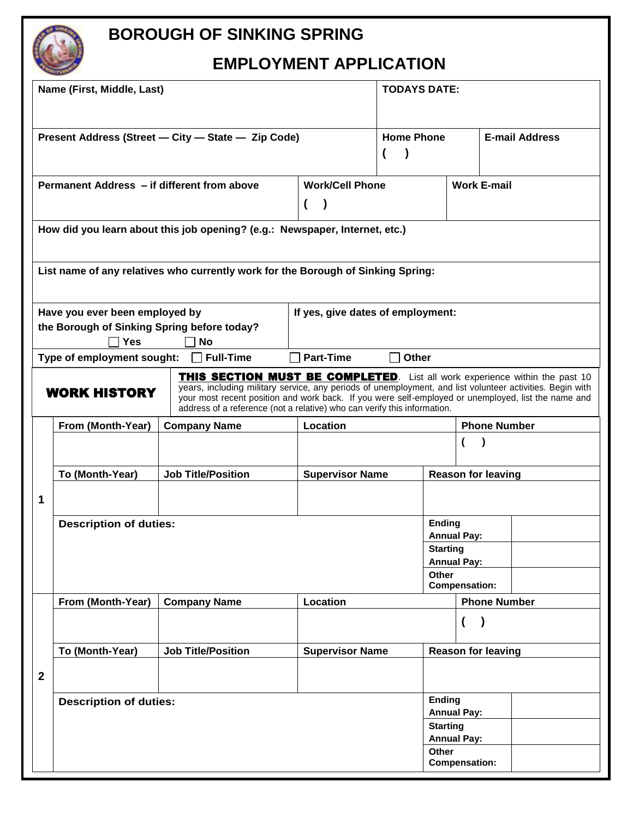# **BOROUGH OF SINKING SPRING**

## **EMPLOYMENT APPLICATION**

|                                                                                                          | Name (First, Middle, Last)                  |                                                                                                                                                                                                                                                                                                                                                                                    |                                      | <b>TODAYS DATE:</b> |                                       |                       |  |
|----------------------------------------------------------------------------------------------------------|---------------------------------------------|------------------------------------------------------------------------------------------------------------------------------------------------------------------------------------------------------------------------------------------------------------------------------------------------------------------------------------------------------------------------------------|--------------------------------------|---------------------|---------------------------------------|-----------------------|--|
|                                                                                                          |                                             | Present Address (Street - City - State - Zip Code)                                                                                                                                                                                                                                                                                                                                 |                                      | <b>Home Phone</b>   |                                       | <b>E-mail Address</b> |  |
|                                                                                                          | Permanent Address - if different from above |                                                                                                                                                                                                                                                                                                                                                                                    | <b>Work/Cell Phone</b><br>$\sqrt{2}$ |                     |                                       | <b>Work E-mail</b>    |  |
|                                                                                                          |                                             | How did you learn about this job opening? (e.g.: Newspaper, Internet, etc.)                                                                                                                                                                                                                                                                                                        |                                      |                     |                                       |                       |  |
|                                                                                                          |                                             | List name of any relatives who currently work for the Borough of Sinking Spring:                                                                                                                                                                                                                                                                                                   |                                      |                     |                                       |                       |  |
| Have you ever been employed by<br>the Borough of Sinking Spring before today?<br><b>No</b><br><b>Yes</b> |                                             |                                                                                                                                                                                                                                                                                                                                                                                    | If yes, give dates of employment:    |                     |                                       |                       |  |
|                                                                                                          | Type of employment sought:                  | $\Box$ Full-Time                                                                                                                                                                                                                                                                                                                                                                   | <b>Part-Time</b>                     | П<br>Other          |                                       |                       |  |
|                                                                                                          | <b>WORK HISTORY</b>                         | <b>THIS SECTION MUST BE COMPLETED.</b> List all work experience within the past 10<br>years, including military service, any periods of unemployment, and list volunteer activities. Begin with<br>your most recent position and work back. If you were self-employed or unemployed, list the name and<br>address of a reference (not a relative) who can verify this information. |                                      |                     |                                       |                       |  |
|                                                                                                          | From (Month-Year)                           | <b>Company Name</b>                                                                                                                                                                                                                                                                                                                                                                | Location                             |                     | <b>Phone Number</b>                   |                       |  |
|                                                                                                          |                                             |                                                                                                                                                                                                                                                                                                                                                                                    |                                      |                     |                                       |                       |  |
|                                                                                                          | To (Month-Year)                             | <b>Job Title/Position</b>                                                                                                                                                                                                                                                                                                                                                          | <b>Supervisor Name</b>               |                     | <b>Reason for leaving</b>             |                       |  |
| 1                                                                                                        |                                             |                                                                                                                                                                                                                                                                                                                                                                                    |                                      |                     |                                       |                       |  |
|                                                                                                          | <b>Description of duties:</b>               |                                                                                                                                                                                                                                                                                                                                                                                    |                                      | <b>Ending</b>       | <b>Annual Pay:</b>                    |                       |  |
|                                                                                                          |                                             |                                                                                                                                                                                                                                                                                                                                                                                    |                                      |                     | <b>Starting</b>                       |                       |  |
|                                                                                                          |                                             |                                                                                                                                                                                                                                                                                                                                                                                    | Other                                | <b>Annual Pay:</b>  |                                       |                       |  |
|                                                                                                          |                                             |                                                                                                                                                                                                                                                                                                                                                                                    |                                      |                     | <b>Compensation:</b>                  |                       |  |
|                                                                                                          | From (Month-Year)                           | <b>Company Name</b>                                                                                                                                                                                                                                                                                                                                                                | Location                             |                     | <b>Phone Number</b>                   |                       |  |
|                                                                                                          |                                             |                                                                                                                                                                                                                                                                                                                                                                                    |                                      |                     | $\overline{(}$                        |                       |  |
|                                                                                                          | To (Month-Year)                             | <b>Job Title/Position</b>                                                                                                                                                                                                                                                                                                                                                          | <b>Supervisor Name</b>               |                     | <b>Reason for leaving</b>             |                       |  |
| $\mathbf{2}$                                                                                             |                                             |                                                                                                                                                                                                                                                                                                                                                                                    |                                      |                     |                                       |                       |  |
|                                                                                                          | <b>Description of duties:</b>               |                                                                                                                                                                                                                                                                                                                                                                                    |                                      |                     | <b>Ending</b>                         |                       |  |
|                                                                                                          |                                             |                                                                                                                                                                                                                                                                                                                                                                                    |                                      |                     | <b>Annual Pay:</b><br><b>Starting</b> |                       |  |
|                                                                                                          |                                             |                                                                                                                                                                                                                                                                                                                                                                                    |                                      |                     | <b>Annual Pay:</b>                    |                       |  |
|                                                                                                          |                                             |                                                                                                                                                                                                                                                                                                                                                                                    |                                      | Other               | <b>Compensation:</b>                  |                       |  |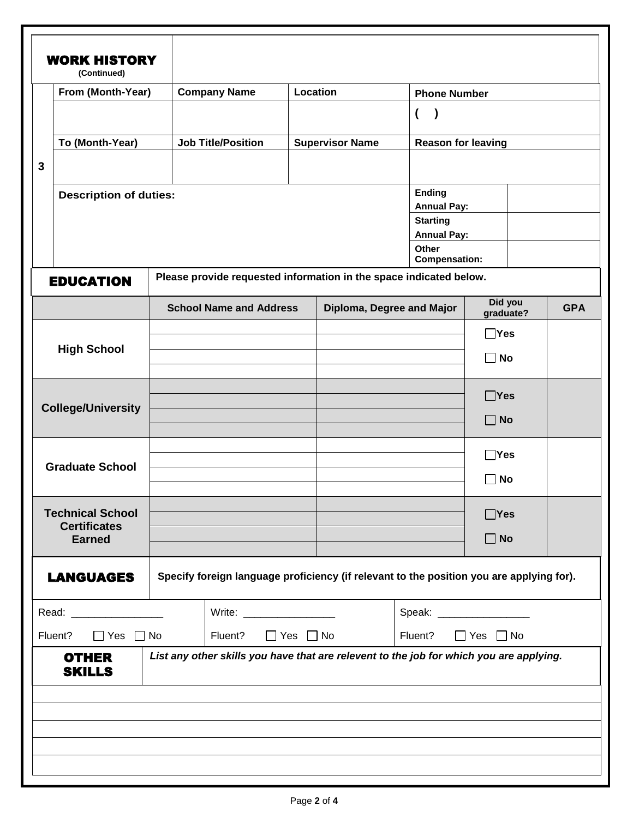|                                      | <b>WORK HISTORY</b><br>(Continued) |  |                                                                                                                                                                                                                                |  |                           |                                       |                      |            |  |
|--------------------------------------|------------------------------------|--|--------------------------------------------------------------------------------------------------------------------------------------------------------------------------------------------------------------------------------|--|---------------------------|---------------------------------------|----------------------|------------|--|
|                                      | From (Month-Year)                  |  | <b>Company Name</b>                                                                                                                                                                                                            |  | Location                  |                                       | <b>Phone Number</b>  |            |  |
|                                      |                                    |  |                                                                                                                                                                                                                                |  |                           | $\overline{ }$<br>$\lambda$           |                      |            |  |
|                                      | To (Month-Year)                    |  | <b>Job Title/Position</b>                                                                                                                                                                                                      |  | <b>Supervisor Name</b>    | <b>Reason for leaving</b>             |                      |            |  |
| 3                                    |                                    |  |                                                                                                                                                                                                                                |  |                           |                                       |                      |            |  |
|                                      | <b>Description of duties:</b>      |  |                                                                                                                                                                                                                                |  | <b>Ending</b>             |                                       |                      |            |  |
|                                      |                                    |  |                                                                                                                                                                                                                                |  | <b>Annual Pay:</b>        |                                       |                      |            |  |
|                                      |                                    |  |                                                                                                                                                                                                                                |  |                           | <b>Starting</b><br><b>Annual Pay:</b> |                      |            |  |
|                                      |                                    |  |                                                                                                                                                                                                                                |  |                           | Other<br><b>Compensation:</b>         |                      |            |  |
|                                      | <b>EDUCATION</b>                   |  | Please provide requested information in the space indicated below.                                                                                                                                                             |  |                           |                                       |                      |            |  |
|                                      |                                    |  | <b>School Name and Address</b>                                                                                                                                                                                                 |  | Diploma, Degree and Major |                                       | Did you<br>graduate? | <b>GPA</b> |  |
|                                      |                                    |  |                                                                                                                                                                                                                                |  |                           |                                       | $\sqcap$ Yes         |            |  |
|                                      | <b>High School</b>                 |  |                                                                                                                                                                                                                                |  |                           |                                       | No                   |            |  |
|                                      |                                    |  |                                                                                                                                                                                                                                |  |                           |                                       |                      |            |  |
|                                      |                                    |  |                                                                                                                                                                                                                                |  |                           |                                       | $\Box$ Yes           |            |  |
|                                      | <b>College/University</b>          |  |                                                                                                                                                                                                                                |  |                           |                                       | $\blacksquare$ No    |            |  |
|                                      |                                    |  |                                                                                                                                                                                                                                |  |                           |                                       | ∃Yes                 |            |  |
| <b>Graduate School</b>               |                                    |  |                                                                                                                                                                                                                                |  |                           |                                       | No                   |            |  |
|                                      | <b>Technical School</b>            |  |                                                                                                                                                                                                                                |  |                           |                                       | $\Box$ Yes           |            |  |
| <b>Certificates</b><br><b>Earned</b> |                                    |  |                                                                                                                                                                                                                                |  |                           |                                       | $\Box$ No            |            |  |
|                                      | <b>LANGUAGES</b>                   |  | Specify foreign language proficiency (if relevant to the position you are applying for).                                                                                                                                       |  |                           |                                       |                      |            |  |
| Read: _____________                  |                                    |  | Write: When the contract of the contract of the contract of the contract of the contract of the contract of the contract of the contract of the contract of the contract of the contract of the contract of the contract of th |  |                           |                                       |                      |            |  |
| $\Box$ Yes $\Box$ No<br>Fluent?      |                                    |  | $\Box$ Yes $\Box$ No<br>Fluent?                                                                                                                                                                                                |  | Fluent?                   | $\Box$ Yes $\Box$ No                  |                      |            |  |
|                                      | <b>OTHER</b><br><b>SKILLS</b>      |  | List any other skills you have that are relevent to the job for which you are applying.                                                                                                                                        |  |                           |                                       |                      |            |  |
|                                      |                                    |  |                                                                                                                                                                                                                                |  |                           |                                       |                      |            |  |
|                                      |                                    |  |                                                                                                                                                                                                                                |  |                           |                                       |                      |            |  |
|                                      |                                    |  |                                                                                                                                                                                                                                |  |                           |                                       |                      |            |  |
|                                      |                                    |  |                                                                                                                                                                                                                                |  |                           |                                       |                      |            |  |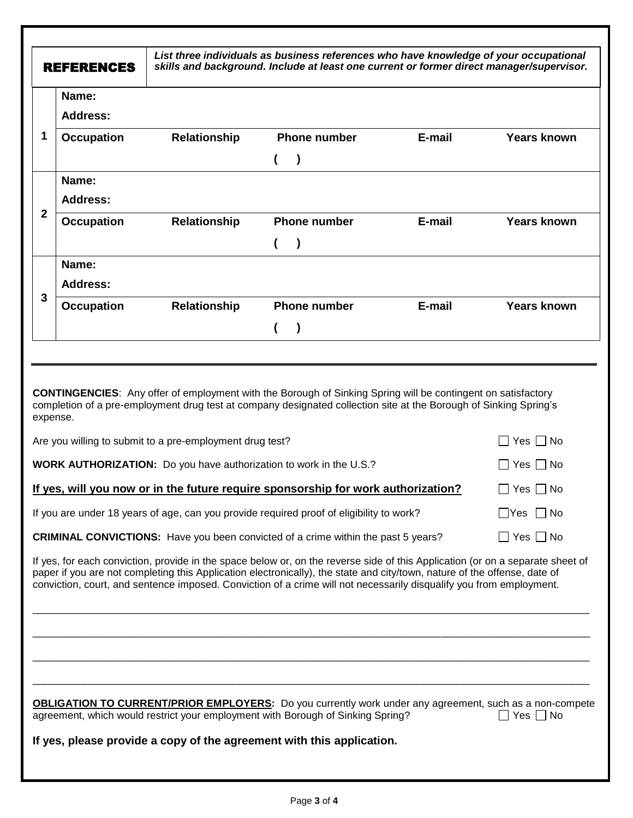| <b>REFERENCES</b>               |                                                          | List three individuals as business references who have knowledge of your occupational<br>skills and background. Include at least one current or former direct manager/supervisor.                                                                                                                                                                                                  |        |                      |
|---------------------------------|----------------------------------------------------------|------------------------------------------------------------------------------------------------------------------------------------------------------------------------------------------------------------------------------------------------------------------------------------------------------------------------------------------------------------------------------------|--------|----------------------|
| Name:                           |                                                          |                                                                                                                                                                                                                                                                                                                                                                                    |        |                      |
| <b>Address:</b>                 |                                                          |                                                                                                                                                                                                                                                                                                                                                                                    |        |                      |
| 1<br><b>Occupation</b>          | <b>Relationship</b>                                      | <b>Phone number</b>                                                                                                                                                                                                                                                                                                                                                                | E-mail | <b>Years known</b>   |
|                                 |                                                          | $\lambda$                                                                                                                                                                                                                                                                                                                                                                          |        |                      |
| Name:                           |                                                          |                                                                                                                                                                                                                                                                                                                                                                                    |        |                      |
| <b>Address:</b><br>$\mathbf{2}$ |                                                          |                                                                                                                                                                                                                                                                                                                                                                                    |        |                      |
| <b>Occupation</b>               | Relationship                                             | <b>Phone number</b>                                                                                                                                                                                                                                                                                                                                                                | E-mail | <b>Years known</b>   |
|                                 |                                                          | $\lambda$                                                                                                                                                                                                                                                                                                                                                                          |        |                      |
| Name:                           |                                                          |                                                                                                                                                                                                                                                                                                                                                                                    |        |                      |
| <b>Address:</b><br>3            |                                                          |                                                                                                                                                                                                                                                                                                                                                                                    | E-mail |                      |
| <b>Occupation</b>               | Relationship                                             | <b>Phone number</b>                                                                                                                                                                                                                                                                                                                                                                |        | <b>Years known</b>   |
|                                 |                                                          |                                                                                                                                                                                                                                                                                                                                                                                    |        |                      |
| expense.                        | Are you willing to submit to a pre-employment drug test? |                                                                                                                                                                                                                                                                                                                                                                                    |        | Yes $\Box$ No        |
|                                 |                                                          | <b>WORK AUTHORIZATION:</b> Do you have authorization to work in the U.S.?                                                                                                                                                                                                                                                                                                          |        | Yes $\Box$ No        |
|                                 |                                                          | <u>If yes, will you now or in the future require sponsorship for work authorization?</u>                                                                                                                                                                                                                                                                                           |        | Yes $\Box$ No        |
|                                 |                                                          | If you are under 18 years of age, can you provide required proof of eligibility to work?                                                                                                                                                                                                                                                                                           |        | $\Box$ Yes $\Box$ No |
|                                 |                                                          | <b>CRIMINAL CONVICTIONS:</b> Have you been convicted of a crime within the past 5 years?                                                                                                                                                                                                                                                                                           |        | $\Box$ Yes $\Box$ No |
|                                 |                                                          | If yes, for each conviction, provide in the space below or, on the reverse side of this Application (or on a separate sheet of<br>paper if you are not completing this Application electronically), the state and city/town, nature of the offense, date of<br>conviction, court, and sentence imposed. Conviction of a crime will not necessarily disqualify you from employment. |        |                      |
|                                 |                                                          |                                                                                                                                                                                                                                                                                                                                                                                    |        |                      |
|                                 |                                                          |                                                                                                                                                                                                                                                                                                                                                                                    |        |                      |
|                                 |                                                          |                                                                                                                                                                                                                                                                                                                                                                                    |        |                      |
|                                 |                                                          | <b>OBLIGATION TO CURRENT/PRIOR EMPLOYERS:</b> Do you currently work under any agreement, such as a non-compete<br>agreement, which would restrict your employment with Borough of Sinking Spring?                                                                                                                                                                                  |        | Yes $\Box$ No        |